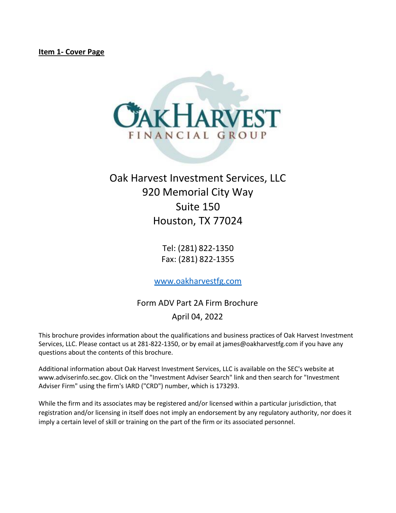<span id="page-0-0"></span>

# Oak Harvest Investment Services, LLC 920 Memorial City Way Suite 150 Houston, TX 77024

Tel: (281) 822-1350 Fax: (281) 822-1355

[www.oakharvestfg.com](http://www.oakharvestfg.com/)

Form ADV Part 2A Firm Brochure April 04, 2022

This brochure provides information about the qualifications and business practices of Oak Harvest Investment Services, LLC. Please contact us at 281-822-1350, or by email at james@oakharvestfg.com if you have any questions about the contents of this brochure.

Additional information about Oak Harvest Investment Services, LLC is available on the SEC's website at [www.adviserinfo.sec.gov. C](http://www.adviserinfo.sec.gov/)lick on the "Investment Adviser Search" link and then search for "Investment Adviser Firm" using the firm's IARD ("CRD") number, which is 173293.

While the firm and its associates may be registered and/or licensed within a particular jurisdiction, that registration and/or licensing in itself does not imply an endorsement by any regulatory authority, nor does it imply a certain level of skill or training on the part of the firm or its associated personnel.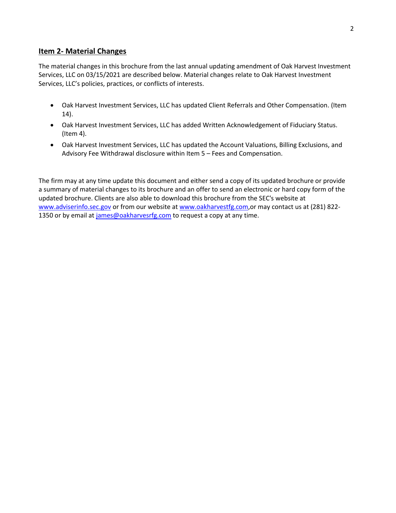# <span id="page-1-0"></span>**Item 2- Material Changes**

The material changes in this brochure from the last annual updating amendment of Oak Harvest Investment Services, LLC on 03/15/2021 are described below. Material changes relate to Oak Harvest Investment Services, LLC's policies, practices, or conflicts of interests.

- Oak Harvest Investment Services, LLC has updated Client Referrals and Other Compensation. (Item 14).
- Oak Harvest Investment Services, LLC has added Written Acknowledgement of Fiduciary Status. (Item 4).
- Oak Harvest Investment Services, LLC has updated the Account Valuations, Billing Exclusions, and Advisory Fee Withdrawal disclosure within Item 5 – Fees and Compensation.

The firm may at any time update this document and either send a copy of its updated brochure or provide a summary of material changes to its brochure and an offer to send an electronic or hard copy form of the updated brochure. Clients are also able to download this brochure from the SEC's website at [www.adviserinfo.sec.gov](http://www.adviserinfo.sec.gov/) or from our website a[t www.oakharvestfg.com,](http://www.oakharvestfg.com/) or may contact us at (281) 8221350 or by email at [james@oakharvesrfg.com](mailto:james@oakharvesrfg.com) to request a copy at any time.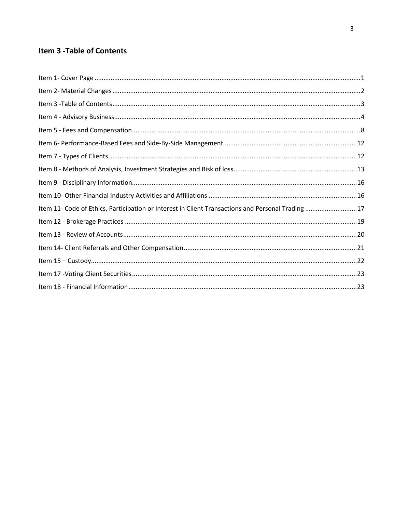# <span id="page-2-0"></span>**Item 3 - Table of Contents**

| Item 11- Code of Ethics, Participation or Interest in Client Transactions and Personal Trading 17 |  |
|---------------------------------------------------------------------------------------------------|--|
|                                                                                                   |  |
|                                                                                                   |  |
|                                                                                                   |  |
|                                                                                                   |  |
|                                                                                                   |  |
|                                                                                                   |  |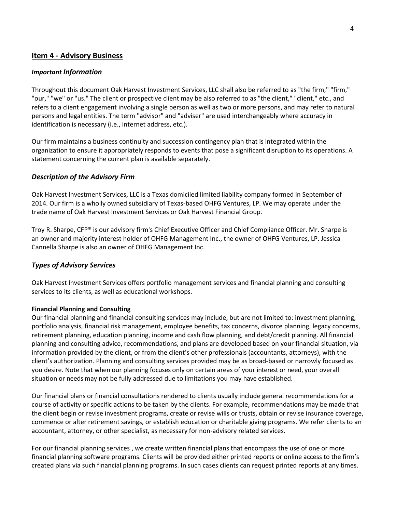# <span id="page-3-0"></span>**Item 4 - Advisory Business**

#### *Important Information*

Throughout this document Oak Harvest Investment Services, LLC shall also be referred to as "the firm," "firm," "our," "we" or "us." The client or prospective client may be also referred to as "the client," "client," etc., and refers to a client engagement involving a single person as well as two or more persons, and may refer to natural persons and legal entities. The term "advisor" and "adviser" are used interchangeably where accuracy in identification is necessary (i.e., internet address, etc.).

Our firm maintains a business continuity and succession contingency plan that is integrated within the organization to ensure it appropriately responds to events that pose a significant disruption to its operations. A statement concerning the current plan is available separately.

#### *Description of the Advisory Firm*

Oak Harvest Investment Services, LLC is a Texas domiciled limited liability company formed in September of 2014. Our firm is a wholly owned subsidiary of Texas-based OHFG Ventures, LP. We may operate under the trade name of Oak Harvest Investment Services or Oak Harvest Financial Group.

Troy R. Sharpe, CFP® is our advisory firm's Chief Executive Officer and Chief Compliance Officer. Mr. Sharpe is an owner and majority interest holder of OHFG Management Inc., the owner of OHFG Ventures, LP. Jessica Cannella Sharpe is also an owner of OHFG Management Inc.

#### *Types of Advisory Services*

Oak Harvest Investment Services offers portfolio management services and financial planning and consulting services to its clients, as well as educational workshops.

#### **Financial Planning and Consulting**

Our financial planning and financial consulting services may include, but are not limited to: investment planning, portfolio analysis, financial risk management, employee benefits, tax concerns, divorce planning, legacy concerns, retirement planning, education planning, income and cash flow planning, and debt/credit planning. All financial planning and consulting advice, recommendations, and plans are developed based on your financial situation, via information provided by the client, or from the client's other professionals (accountants, attorneys), with the client's authorization. Planning and consulting services provided may be as broad-based or narrowly focused as you desire. Note that when our planning focuses only on certain areas of your interest or need, your overall situation or needs may not be fully addressed due to limitations you may have established.

Our financial plans or financial consultations rendered to clients usually include general recommendations for a course of activity or specific actions to be taken by the clients. For example, recommendations may be made that the client begin or revise investment programs, create or revise wills or trusts, obtain or revise insurance coverage, commence or alter retirement savings, or establish education or charitable giving programs. We refer clients to an accountant, attorney, or other specialist, as necessary for non-advisory related services.

For our financial planning services , we create written financial plans that encompass the use of one or more financial planning software programs. Clients will be provided either printed reports or online access to the firm's created plans via such financial planning programs. In such cases clients can request printed reports at any times.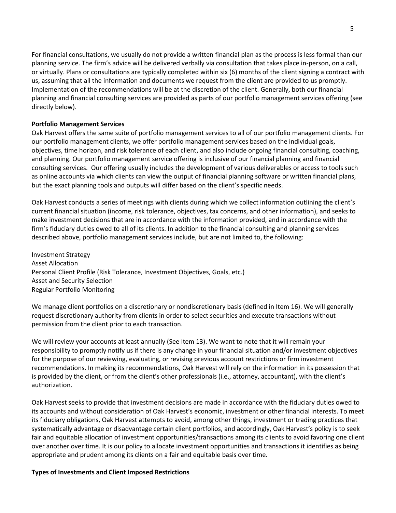For financial consultations, we usually do not provide a written financial plan as the process is less formal than our planning service. The firm's advice will be delivered verbally via consultation that takes place in-person, on a call, or virtually. Plans or consultations are typically completed within six (6) months of the client signing a contract with us, assuming that all the information and documents we request from the client are provided to us promptly. Implementation of the recommendations will be at the discretion of the client. Generally, both our financial planning and financial consulting services are provided as parts of our portfolio management services offering (see directly below).

#### **Portfolio Management Services**

Oak Harvest offers the same suite of portfolio management services to all of our portfolio management clients. For our portfolio management clients, we offer portfolio management services based on the individual goals, objectives, time horizon, and risk tolerance of each client, and also include ongoing financial consulting, coaching, and planning. Our portfolio management service offering is inclusive of our financial planning and financial consulting services. Our offering usually includes the development of various deliverables or access to tools such as online accounts via which clients can view the output of financial planning software or written financial plans, but the exact planning tools and outputs will differ based on the client's specific needs.

Oak Harvest conducts a series of meetings with clients during which we collect information outlining the client's current financial situation (income, risk tolerance, objectives, tax concerns, and other information), and seeks to make investment decisions that are in accordance with the information provided, and in accordance with the firm's fiduciary duties owed to all of its clients. In addition to the financial consulting and planning services described above, portfolio management services include, but are not limited to, the following:

Investment Strategy Asset Allocation Personal Client Profile (Risk Tolerance, Investment Objectives, Goals, etc.) Asset and Security Selection Regular Portfolio Monitoring

We manage client portfolios on a discretionary or nondiscretionary basis (defined in Item 16). We will generally request discretionary authority from clients in order to select securities and execute transactions without permission from the client prior to each transaction.

We will review your accounts at least annually (See Item 13). We want to note that it will remain your responsibility to promptly notify us if there is any change in your financial situation and/or investment objectives for the purpose of our reviewing, evaluating, or revising previous account restrictions or firm investment recommendations. In making its recommendations, Oak Harvest will rely on the information in its possession that is provided by the client, or from the client's other professionals (i.e., attorney, accountant), with the client's authorization.

Oak Harvest seeks to provide that investment decisions are made in accordance with the fiduciary duties owed to its accounts and without consideration of Oak Harvest's economic, investment or other financial interests. To meet its fiduciary obligations, Oak Harvest attempts to avoid, among other things, investment or trading practices that systematically advantage or disadvantage certain client portfolios, and accordingly, Oak Harvest's policy is to seek fair and equitable allocation of investment opportunities/transactions among its clients to avoid favoring one client over another over time. It is our policy to allocate investment opportunities and transactions it identifies as being appropriate and prudent among its clients on a fair and equitable basis over time.

#### **Types of Investments and Client Imposed Restrictions**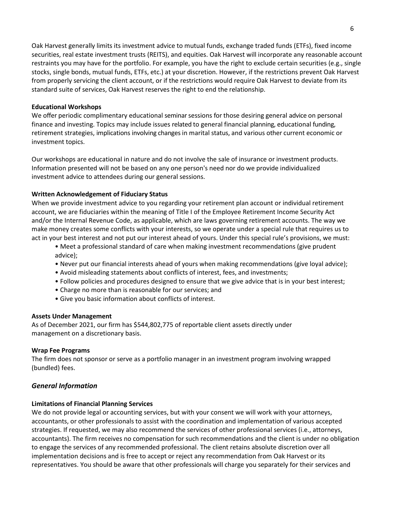Oak Harvest generally limits its investment advice to mutual funds, exchange traded funds (ETFs), fixed income securities, real estate investment trusts (REITS), and equities. Oak Harvest will incorporate any reasonable account restraints you may have for the portfolio. For example, you have the right to exclude certain securities (e.g., single stocks, single bonds, mutual funds, ETFs, etc.) at your discretion. However, if the restrictions prevent Oak Harvest from properly servicing the client account, or if the restrictions would require Oak Harvest to deviate from its standard suite of services, Oak Harvest reserves the right to end the relationship.

#### **Educational Workshops**

We offer periodic complimentary educational seminar sessions for those desiring general advice on personal finance and investing. Topics may include issues related to general financial planning, educational funding, retirement strategies, implications involving changes in marital status, and various other current economic or investment topics.

Our workshops are educational in nature and do not involve the sale of insurance or investment products. Information presented will not be based on any one person's need nor do we provide individualized investment advice to attendees during our general sessions.

## **Written Acknowledgement of Fiduciary Status**

When we provide investment advice to you regarding your retirement plan account or individual retirement account, we are fiduciaries within the meaning of Title I of the Employee Retirement Income Security Act and/or the Internal Revenue Code, as applicable, which are laws governing retirement accounts. The way we make money creates some conflicts with your interests, so we operate under a special rule that requires us to act in your best interest and not put our interest ahead of yours. Under this special rule's provisions, we must:

- Meet a professional standard of care when making investment recommendations (give prudent advice);
- Never put our financial interests ahead of yours when making recommendations (give loyal advice);
- Avoid misleading statements about conflicts of interest, fees, and investments;
- Follow policies and procedures designed to ensure that we give advice that is in your best interest;
- Charge no more than is reasonable for our services; and
- Give you basic information about conflicts of interest.

#### **Assets Under Management**

As of December 2021, our firm has \$544,802,775 of reportable client assets directly under management on a discretionary basis.

#### **Wrap Fee Programs**

The firm does not sponsor or serve as a portfolio manager in an investment program involving wrapped (bundled) fees.

# *General Information*

#### **Limitations of Financial Planning Services**

We do not provide legal or accounting services, but with your consent we will work with your attorneys, accountants, or other professionals to assist with the coordination and implementation of various accepted strategies. If requested, we may also recommend the services of other professional services (i.e., attorneys, accountants). The firm receives no compensation for such recommendations and the client is under no obligation to engage the services of any recommended professional. The client retains absolute discretion over all implementation decisions and is free to accept or reject any recommendation from Oak Harvest or its representatives. You should be aware that other professionals will charge you separately for their services and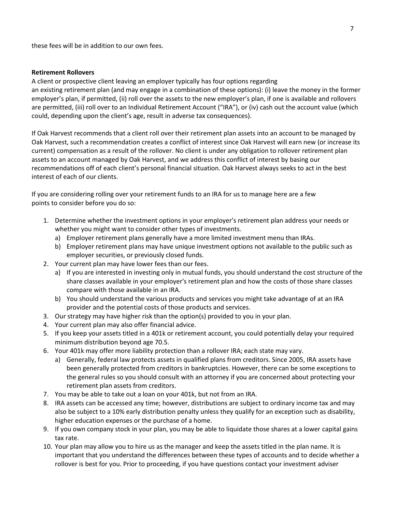these fees will be in addition to our own fees.

#### **Retirement Rollovers**

A client or prospective client leaving an employer typically has four options regarding an existing retirement plan (and may engage in a combination of these options): (i) leave the money in the former employer's plan, if permitted, (ii) roll over the assets to the new employer's plan, if one is available and rollovers are permitted, (iii) roll over to an Individual Retirement Account ("IRA"), or (iv) cash out the account value (which could, depending upon the client's age, result in adverse tax consequences).

If Oak Harvest recommends that a client roll over their retirement plan assets into an account to be managed by Oak Harvest, such a recommendation creates a conflict of interest since Oak Harvest will earn new (or increase its current) compensation as a result of the rollover. No client is under any obligation to rollover retirement plan assets to an account managed by Oak Harvest, and we address this conflict of interest by basing our recommendations off of each client's personal financial situation. Oak Harvest always seeks to act in the best interest of each of our clients.

If you are considering rolling over your retirement funds to an IRA for us to manage here are a few points to consider before you do so:

- 1. Determine whether the investment options in your employer's retirement plan address your needs or whether you might want to consider other types of investments.
	- a) Employer retirement plans generally have a more limited investment menu than IRAs.
	- b) Employer retirement plans may have unique investment options not available to the public such as employer securities, or previously closed funds.
- 2. Your current plan may have lower fees than our fees.
	- a) If you are interested in investing only in mutual funds, you should understand the cost structure of the share classes available in your employer's retirement plan and how the costs of those share classes compare with those available in an IRA.
	- b) You should understand the various products and services you might take advantage of at an IRA provider and the potential costs of those products and services.
- 3. Our strategy may have higher risk than the option(s) provided to you in your plan.
- 4. Your current plan may also offer financial advice.
- 5. If you keep your assets titled in a 401k or retirement account, you could potentially delay your required minimum distribution beyond age 70.5.
- 6. Your 401k may offer more liability protection than a rollover IRA; each state may vary.
	- a) Generally, federal law protects assets in qualified plans from creditors. Since 2005, IRA assets have been generally protected from creditors in bankruptcies. However, there can be some exceptions to the general rules so you should consult with an attorney if you are concerned about protecting your retirement plan assets from creditors.
- 7. You may be able to take out a loan on your 401k, but not from an IRA.
- 8. IRA assets can be accessed any time; however, distributions are subject to ordinary income tax and may also be subject to a 10% early distribution penalty unless they qualify for an exception such as disability, higher education expenses or the purchase of a home.
- 9. If you own company stock in your plan, you may be able to liquidate those shares at a lower capital gains tax rate.
- 10. Your plan may allow you to hire us as the manager and keep the assets titled in the plan name. It is important that you understand the differences between these types of accounts and to decide whether a rollover is best for you. Prior to proceeding, if you have questions contact your investment adviser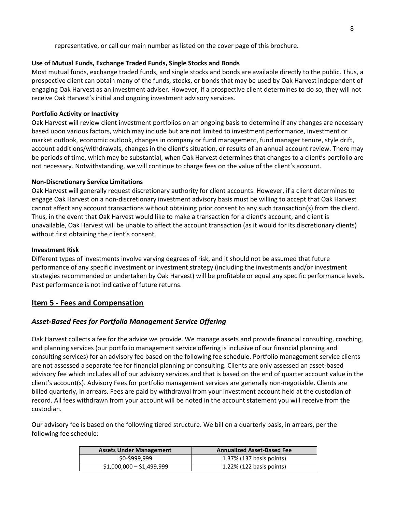representative, or call our main number as listed on the cover page of this brochure.

#### **Use of Mutual Funds, Exchange Traded Funds, Single Stocks and Bonds**

Most mutual funds, exchange traded funds, and single stocks and bonds are available directly to the public. Thus, a prospective client can obtain many of the funds, stocks, or bonds that may be used by Oak Harvest independent of engaging Oak Harvest as an investment adviser. However, if a prospective client determines to do so, they will not receive Oak Harvest's initial and ongoing investment advisory services.

### **Portfolio Activity or Inactivity**

Oak Harvest will review client investment portfolios on an ongoing basis to determine if any changes are necessary based upon various factors, which may include but are not limited to investment performance, investment or market outlook, economic outlook, changes in company or fund management, fund manager tenure, style drift, account additions/withdrawals, changes in the client's situation, or results of an annual account review. There may be periods of time, which may be substantial, when Oak Harvest determines that changes to a client's portfolio are not necessary. Notwithstanding, we will continue to charge fees on the value of the client's account.

#### **Non‐Discretionary Service Limitations**

Oak Harvest will generally request discretionary authority for client accounts. However, if a client determines to engage Oak Harvest on a non‐discretionary investment advisory basis must be willing to accept that Oak Harvest cannot affect any account transactions without obtaining prior consent to any such transaction(s) from the client. Thus, in the event that Oak Harvest would like to make a transaction for a client's account, and client is unavailable, Oak Harvest will be unable to affect the account transaction (as it would for its discretionary clients) without first obtaining the client's consent.

#### **Investment Risk**

Different types of investments involve varying degrees of risk, and it should not be assumed that future performance of any specific investment or investment strategy (including the investments and/or investment strategies recommended or undertaken by Oak Harvest) will be profitable or equal any specific performance levels. Past performance is not indicative of future returns.

# <span id="page-7-0"></span>**Item 5 - Fees and Compensation**

# *Asset-Based Fees for Portfolio Management Service Offering*

Oak Harvest collects a fee for the advice we provide. We manage assets and provide financial consulting, coaching, and planning services (our portfolio management service offering is inclusive of our financial planning and consulting services) for an advisory fee based on the following fee schedule. Portfolio management service clients are not assessed a separate fee for financial planning or consulting. Clients are only assessed an asset-based advisory fee which includes all of our advisory services and that is based on the end of quarter account value in the client's account(s). Advisory Fees for portfolio management services are generally non-negotiable. Clients are billed quarterly, in arrears. Fees are paid by withdrawal from your investment account held at the custodian of record. All fees withdrawn from your account will be noted in the account statement you will receive from the custodian.

Our advisory fee is based on the following tiered structure. We bill on a quarterly basis, in arrears, per the following fee schedule:

| <b>Assets Under Management</b> | <b>Annualized Asset-Based Fee</b> |
|--------------------------------|-----------------------------------|
| \$0-\$999,999                  | 1.37% (137 basis points)          |
| $$1,000,000 - $1,499,999$      | $1.22\%$ (122 basis points)       |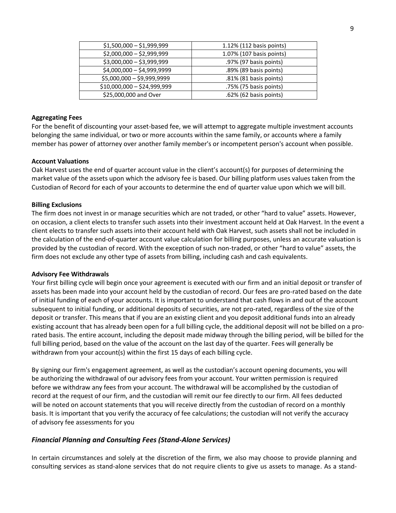| $$1,500,000 - $1,999,999$   | 1.12% (112 basis points) |
|-----------------------------|--------------------------|
| $$2,000,000 - $2,999,999$   | 1.07% (107 basis points) |
| $$3,000,000 - $3,999,999$   | .97% (97 basis points)   |
| $$4,000,000 - $4,999,9999$  | .89% (89 basis points)   |
| \$5,000,000 - \$9,999,9999  | .81% (81 basis points)   |
| $$10,000,000 - $24,999,999$ | .75% (75 basis points)   |
| \$25,000,000 and Over       | .62% (62 basis points)   |

#### **Aggregating Fees**

For the benefit of discounting your asset-based fee, we will attempt to aggregate multiple investment accounts belonging the same individual, or two or more accounts within the same family, or accounts where a family member has power of attorney over another family member's or incompetent person's account when possible.

#### **Account Valuations**

Oak Harvest uses the end of quarter account value in the client's account(s) for purposes of determining the market value of the assets upon which the advisory fee is based. Our billing platform uses values taken from the Custodian of Record for each of your accounts to determine the end of quarter value upon which we will bill.

#### **Billing Exclusions**

The firm does not invest in or manage securities which are not traded, or other "hard to value" assets. However, on occasion, a client elects to transfer such assets into their investment account held at Oak Harvest. In the event a client elects to transfer such assets into their account held with Oak Harvest, such assets shall not be included in the calculation of the end-of-quarter account value calculation for billing purposes, unless an accurate valuation is provided by the custodian of record. With the exception of such non-traded, or other "hard to value" assets, the firm does not exclude any other type of assets from billing, including cash and cash equivalents.

#### **Advisory Fee Withdrawals**

Your first billing cycle will begin once your agreement is executed with our firm and an initial deposit or transfer of assets has been made into your account held by the custodian of record. Our fees are pro-rated based on the date of initial funding of each of your accounts. It is important to understand that cash flows in and out of the account subsequent to initial funding, or additional deposits of securities, are not pro-rated, regardless of the size of the deposit or transfer. This means that if you are an existing client and you deposit additional funds into an already existing account that has already been open for a full billing cycle, the additional deposit will not be billed on a prorated basis. The entire account, including the deposit made midway through the billing period, will be billed for the full billing period, based on the value of the account on the last day of the quarter. Fees will generally be withdrawn from your account(s) within the first 15 days of each billing cycle.

By signing our firm's engagement agreement, as well as the custodian's account opening documents, you will be authorizing the withdrawal of our advisory fees from your account. Your written permission is required before we withdraw any fees from your account. The withdrawal will be accomplished by the custodian of record at the request of our firm, and the custodian will remit our fee directly to our firm. All fees deducted will be noted on account statements that you will receive directly from the custodian of record on a monthly basis. It is important that you verify the accuracy of fee calculations; the custodian will not verify the accuracy of advisory fee assessments for you

#### *Financial Planning and Consulting Fees (Stand-Alone Services)*

In certain circumstances and solely at the discretion of the firm, we also may choose to provide planning and consulting services as stand-alone services that do not require clients to give us assets to manage. As a stand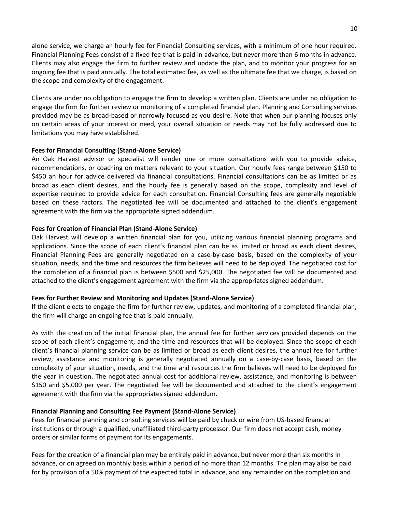alone service, we charge an hourly fee for Financial Consulting services, with a minimum of one hour required. Financial Planning Fees consist of a fixed fee that is paid in advance, but never more than 6 months in advance. Clients may also engage the firm to further review and update the plan, and to monitor your progress for an ongoing fee that is paid annually. The total estimated fee, as well as the ultimate fee that we charge, is based on the scope and complexity of the engagement.

Clients are under no obligation to engage the firm to develop a written plan. Clients are under no obligation to engage the firm for further review or monitoring of a completed financial plan. Planning and Consulting services provided may be as broad-based or narrowly focused as you desire. Note that when our planning focuses only on certain areas of your interest or need, your overall situation or needs may not be fully addressed due to limitations you may have established.

#### **Fees for Financial Consulting (Stand-Alone Service)**

An Oak Harvest advisor or specialist will render one or more consultations with you to provide advice, recommendations, or coaching on matters relevant to your situation. Our hourly fees range between \$150 to \$450 an hour for advice delivered via financial consultations. Financial consultations can be as limited or as broad as each client desires, and the hourly fee is generally based on the scope, complexity and level of expertise required to provide advice for each consultation. Financial Consulting fees are generally negotiable based on these factors. The negotiated fee will be documented and attached to the client's engagement agreement with the firm via the appropriate signed addendum.

#### **Fees for Creation of Financial Plan (Stand-Alone Service)**

Oak Harvest will develop a written financial plan for you, utilizing various financial planning programs and applications. Since the scope of each client's financial plan can be as limited or broad as each client desires, Financial Planning Fees are generally negotiated on a case-by-case basis, based on the complexity of your situation, needs, and the time and resources the firm believes will need to be deployed. The negotiated cost for the completion of a financial plan is between \$500 and \$25,000. The negotiated fee will be documented and attached to the client's engagement agreement with the firm via the appropriates signed addendum.

#### **Fees for Further Review and Monitoring and Updates (Stand-Alone Service)**

If the client elects to engage the firm for further review, updates, and monitoring of a completed financial plan, the firm will charge an ongoing fee that is paid annually.

As with the creation of the initial financial plan, the annual fee for further services provided depends on the scope of each client's engagement, and the time and resources that will be deployed. Since the scope of each client's financial planning service can be as limited or broad as each client desires, the annual fee for further review, assistance and monitoring is generally negotiated annually on a case-by-case basis, based on the complexity of your situation, needs, and the time and resources the firm believes will need to be deployed for the year in question. The negotiated annual cost for additional review, assistance, and monitoring is between \$150 and \$5,000 per year. The negotiated fee will be documented and attached to the client's engagement agreement with the firm via the appropriates signed addendum.

#### **Financial Planning and Consulting Fee Payment (Stand-Alone Service)**

Fees for financial planning and consulting services will be paid by check or wire from US-based financial institutions or through a qualified, unaffiliated third-party processor. Our firm does not accept cash, money orders or similar forms of payment for its engagements.

Fees for the creation of a financial plan may be entirely paid in advance, but never more than six months in advance, or on agreed on monthly basis within a period of no more than 12 months. The plan may also be paid for by provision of a 50% payment of the expected total in advance, and any remainder on the completion and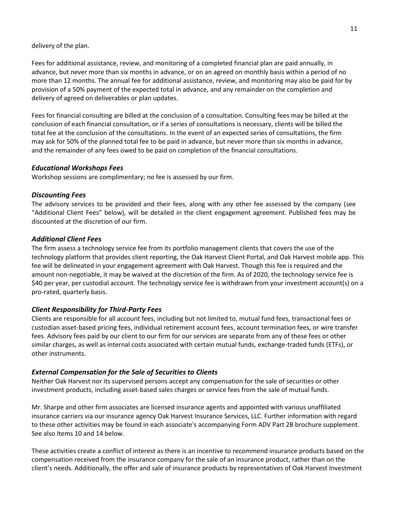delivery of the plan.

Fees for additional assistance, review, and monitoring of a completed financial plan are paid annually, in advance, but never more than six months in advance, or on an agreed on monthly basis within a period of no more than 12 months. The annual fee for additional assistance, review, and monitoring may also be paid for by provision of a 50% payment of the expected total in advance, and any remainder on the completion and delivery of agreed on deliverables or plan updates.

Fees for financial consulting are billed at the conclusion of a consultation. Consulting fees may be billed at the conclusion of each financial consultation, or if a series of consultations is necessary, clients will be billed the total fee at the conclusion of the consultations. In the event of an expected series of consultations, the firm may ask for 50% of the planned total fee to be paid in advance, but never more than six months in advance, and the remainder of any fees owed to be paid on completion of the financial consultations.

## *Educational Workshops Fees*

Workshop sessions are complimentary; no fee is assessed by our firm.

## *Discounting Fees*

The advisory services to be provided and their fees, along with any other fee assessed by the company (see "Additional Client Fees" below), will be detailed in the client engagement agreement. Published fees may be discounted at the discretion of our firm.

## *Additional Client Fees*

The firm assess a technology service fee from its portfolio management clients that covers the use of the technology platform that provides client reporting, the Oak Harvest Client Portal, and Oak Harvest mobile app. This fee will be delineated in your engagement agreement with Oak Harvest. Though this fee is required and the amount non-negotiable, it may be waived at the discretion of the firm. As of 2020, the technology service fee is \$40 per year, per custodial account. The technology service fee is withdrawn from your investment account(s) on a pro-rated, quarterly basis.

# *Client Responsibility for Third-Party Fees*

Clients are responsible for all account fees, including but not limited to, mutual fund fees, transactional fees or custodian asset-based pricing fees, individual retirement account fees, account termination fees, or wire transfer fees. Advisory fees paid by our client to our firm for our services are separate from any of these fees or other similar charges, as well as internal costs associated with certain mutual funds, exchange-traded funds (ETFs), or other instruments.

# *External Compensation for the Sale of Securities to Clients*

Neither Oak Harvest nor its supervised persons accept any compensation for the sale of securities or other investment products, including asset-based sales charges or service fees from the sale of mutual funds.

Mr. Sharpe and other firm associates are licensed insurance agents and appointed with various unaffiliated insurance carriers via our insurance agency Oak Harvest Insurance Services, LLC. Further information with regard to these other activities may be found in each associate's accompanying Form ADV Part 2B brochure supplement. See also Items 10 and 14 below.

These activities create a conflict of interest as there is an incentive to recommend insurance products based on the compensation received from the insurance company for the sale of an insurance product, rather than on the client's needs. Additionally, the offer and sale of insurance products by representatives of Oak Harvest Investment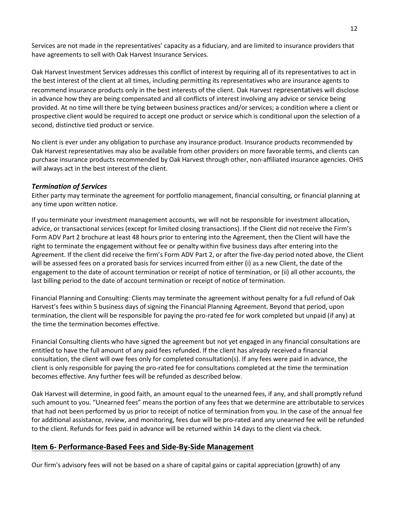Services are not made in the representatives' capacity as a fiduciary, and are limited to insurance providers that have agreements to sell with Oak Harvest Insurance Services.

Oak Harvest Investment Services addresses this conflict of interest by requiring all of its representatives to act in the best interest of the client at all times, including permitting its representatives who are insurance agents to recommend insurance products only in the best interests of the client. Oak Harvest representatives will disclose in advance how they are being compensated and all conflicts of interest involving any advice or service being provided. At no time will there be tying between business practices and/or services; a condition where a client or prospective client would be required to accept one product or service which is conditional upon the selection of a second, distinctive tied product or service.

No client is ever under any obligation to purchase any insurance product. Insurance products recommended by Oak Harvest representatives may also be available from other providers on more favorable terms, and clients can purchase insurance products recommended by Oak Harvest through other, non‐affiliated insurance agencies. OHIS will always act in the best interest of the client.

#### *Termination of Services*

Either party may terminate the agreement for portfolio management, financial consulting, or financial planning at any time upon written notice.

If you terminate your investment management accounts, we will not be responsible for investment allocation, advice, or transactional services (except for limited closing transactions). If the Client did not receive the Firm's Form ADV Part 2 brochure at least 48 hours prior to entering into the Agreement, then the Client will have the right to terminate the engagement without fee or penalty within five business days after entering into the Agreement. If the client did receive the firm's Form ADV Part 2, or after the five-day period noted above, the Client will be assessed fees on a prorated basis for services incurred from either (i) as a new Client, the date of the engagement to the date of account termination or receipt of notice of termination, or (ii) all other accounts, the last billing period to the date of account termination or receipt of notice of termination.

Financial Planning and Consulting: Clients may terminate the agreement without penalty for a full refund of Oak Harvest's fees within 5 business days of signing the Financial Planning Agreement. Beyond that period, upon termination, the client will be responsible for paying the pro-rated fee for work completed but unpaid (if any) at the time the termination becomes effective.

Financial Consulting clients who have signed the agreement but not yet engaged in any financial consultations are entitled to have the full amount of any paid fees refunded. If the client has already received a financial consultation, the client will owe fees only for completed consultation(s). If any fees were paid in advance, the client is only responsible for paying the pro-rated fee for consultations completed at the time the termination becomes effective. Any further fees will be refunded as described below.

Oak Harvest will determine, in good faith, an amount equal to the unearned fees, if any, and shall promptly refund such amount to you. "Unearned fees" means the portion of any fees that we determine are attributable to services that had not been performed by us prior to receipt of notice of termination from you. In the case of the annual fee for additional assistance, review, and monitoring, fees due will be pro-rated and any unearned fee will be refunded to the client. Refunds for fees paid in advance will be returned within 14 days to the client via check.

# <span id="page-11-0"></span>**Item 6- Performance-Based Fees and Side-By-Side Management**

Our firm's advisory fees will not be based on a share of capital gains or capital appreciation (growth) of any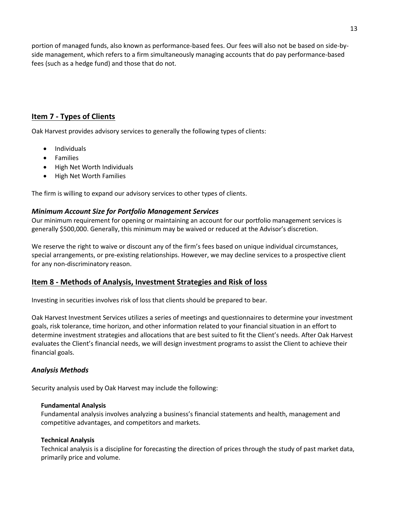portion of managed funds, also known as performance-based fees. Our fees will also not be based on side-byside management, which refers to a firm simultaneously managing accounts that do pay performance-based fees (such as a hedge fund) and those that do not.

# <span id="page-12-0"></span>**Item 7 - Types of Clients**

Oak Harvest provides advisory services to generally the following types of clients:

- **Individuals**
- Families
- High Net Worth Individuals
- High Net Worth Families

The firm is willing to expand our advisory services to other types of clients.

# *Minimum Account Size for Portfolio Management Services*

Our minimum requirement for opening or maintaining an account for our portfolio management services is generally \$500,000. Generally, this minimum may be waived or reduced at the Advisor's discretion.

We reserve the right to waive or discount any of the firm's fees based on unique individual circumstances, special arrangements, or pre-existing relationships. However, we may decline services to a prospective client for any non-discriminatory reason.

# <span id="page-12-1"></span>**Item 8 - Methods of Analysis, Investment Strategies and Risk of loss**

Investing in securities involves risk of loss that clients should be prepared to bear.

Oak Harvest Investment Services utilizes a series of meetings and questionnaires to determine your investment goals, risk tolerance, time horizon, and other information related to your financial situation in an effort to determine investment strategies and allocations that are best suited to fit the Client's needs. After Oak Harvest evaluates the Client's financial needs, we will design investment programs to assist the Client to achieve their financial goals.

# *Analysis Methods*

Security analysis used by Oak Harvest may include the following:

#### **Fundamental Analysis**

Fundamental analysis involves analyzing a business's financial statements and health, management and competitive advantages, and competitors and markets.

# **Technical Analysis**

Technical analysis is a discipline for forecasting the direction of prices through the study of past market data, primarily price and volume.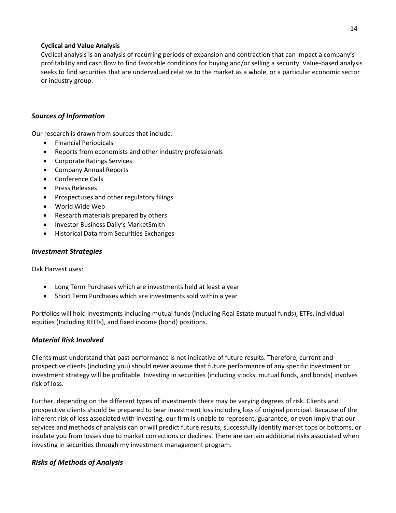## **Cyclical and Value Analysis**

Cyclical analysis is an analysis of recurring periods of expansion and contraction that can impact a company's profitability and cash flow to find favorable conditions for buying and/or selling a security. Value-based analysis seeks to find securities that are undervalued relative to the market as a whole, or a particular economic sector or industry group.

# *Sources of Information*

Our research is drawn from sources that include:

- Financial Periodicals
- Reports from economists and other industry professionals
- Corporate Ratings Services
- Company Annual Reports
- Conference Calls
- Press Releases
- Prospectuses and other regulatory filings
- World Wide Web
- Research materials prepared by others
- Investor Business Daily's MarketSmith
- Historical Data from Securities Exchanges

## *Investment Strategies*

Oak Harvest uses:

- Long Term Purchases which are investments held at least a year
- Short Term Purchases which are investments sold within a year

Portfolios will hold investments including mutual funds (including Real Estate mutual funds), ETFs, individual equities (Including REITs), and fixed income (bond) positions.

# *Material Risk Involved*

Clients must understand that past performance is not indicative of future results. Therefore, current and prospective clients (including you) should never assume that future performance of any specific investment or investment strategy will be profitable. Investing in securities (including stocks, mutual funds, and bonds) involves risk of loss.

Further, depending on the different types of investments there may be varying degrees of risk. Clients and prospective clients should be prepared to bear investment loss including loss of original principal. Because of the inherent risk of loss associated with investing, our firm is unable to represent, guarantee, or even imply that our services and methods of analysis can or will predict future results, successfully identify market tops or bottoms, or insulate you from losses due to market corrections or declines. There are certain additional risks associated when investing in securities through my investment management program.

# *Risks of Methods of Analysis*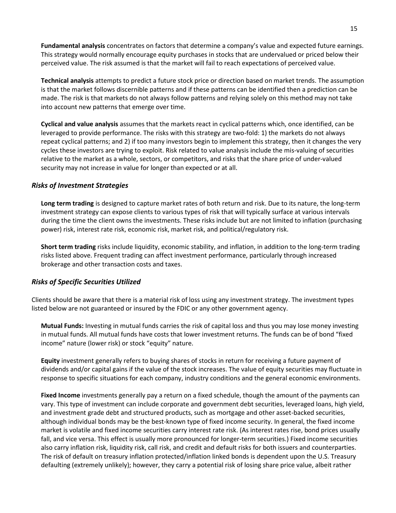**Fundamental analysis** concentrates on factors that determine a company's value and expected future earnings. This strategy would normally encourage equity purchases in stocks that are undervalued or priced below their perceived value. The risk assumed is that the market will fail to reach expectations of perceived value.

**Technical analysis** attempts to predict a future stock price or direction based on market trends. The assumption is that the market follows discernible patterns and if these patterns can be identified then a prediction can be made. The risk is that markets do not always follow patterns and relying solely on this method may not take into account new patterns that emerge over time.

**Cyclical and value analysis** assumes that the markets react in cyclical patterns which, once identified, can be leveraged to provide performance. The risks with this strategy are two-fold: 1) the markets do not always repeat cyclical patterns; and 2) if too many investors begin to implement this strategy, then it changes the very cycles these investors are trying to exploit. Risk related to value analysis include the mis-valuing of securities relative to the market as a whole, sectors, or competitors, and risks that the share price of under-valued security may not increase in value for longer than expected or at all.

## *Risks of Investment Strategies*

**Long term trading** is designed to capture market rates of both return and risk. Due to its nature, the long-term investment strategy can expose clients to various types of risk that will typically surface at various intervals during the time the client owns the investments. These risks include but are not limited to inflation (purchasing power) risk, interest rate risk, economic risk, market risk, and political/regulatory risk.

**Short term trading** risks include liquidity, economic stability, and inflation, in addition to the long-term trading risks listed above. Frequent trading can affect investment performance, particularly through increased brokerage and other transaction costs and taxes.

#### *Risks of Specific Securities Utilized*

Clients should be aware that there is a material risk of loss using any investment strategy. The investment types listed below are not guaranteed or insured by the FDIC or any other government agency.

**Mutual Funds:** Investing in mutual funds carries the risk of capital loss and thus you may lose money investing in mutual funds. All mutual funds have costs that lower investment returns. The funds can be of bond "fixed income" nature (lower risk) or stock "equity" nature.

**Equity** investment generally refers to buying shares of stocks in return for receiving a future payment of dividends and/or capital gains if the value of the stock increases. The value of equity securities may fluctuate in response to specific situations for each company, industry conditions and the general economic environments.

**Fixed Income** investments generally pay a return on a fixed schedule, though the amount of the payments can vary. This type of investment can include corporate and government debt securities, leveraged loans, high yield, and investment grade debt and structured products, such as mortgage and other asset-backed securities, although individual bonds may be the best-known type of fixed income security. In general, the fixed income market is volatile and fixed income securities carry interest rate risk. (As interest rates rise, bond prices usually fall, and vice versa. This effect is usually more pronounced for longer-term securities.) Fixed income securities also carry inflation risk, liquidity risk, call risk, and credit and default risks for both issuers and counterparties. The risk of default on treasury inflation protected/inflation linked bonds is dependent upon the U.S. Treasury defaulting (extremely unlikely); however, they carry a potential risk of losing share price value, albeit rather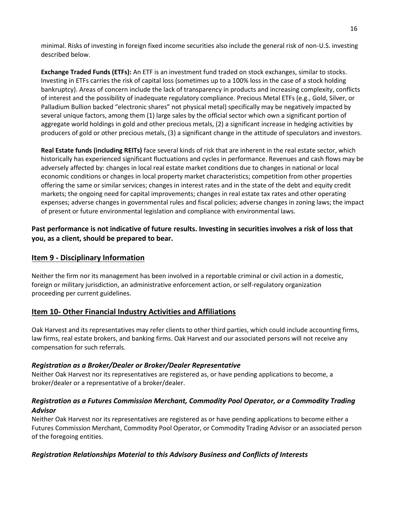minimal. Risks of investing in foreign fixed income securities also include the general risk of non-U.S. investing described below.

**Exchange Traded Funds (ETFs):** An ETF is an investment fund traded on stock exchanges, similar to stocks. Investing in ETFs carries the risk of capital loss (sometimes up to a 100% loss in the case of a stock holding bankruptcy). Areas of concern include the lack of transparency in products and increasing complexity, conflicts of interest and the possibility of inadequate regulatory compliance. Precious Metal ETFs (e.g., Gold, Silver, or Palladium Bullion backed "electronic shares" not physical metal) specifically may be negatively impacted by several unique factors, among them (1) large sales by the official sector which own a significant portion of aggregate world holdings in gold and other precious metals, (2) a significant increase in hedging activities by producers of gold or other precious metals, (3) a significant change in the attitude of speculators and investors.

**Real Estate funds (including REITs)** face several kinds of risk that are inherent in the real estate sector, which historically has experienced significant fluctuations and cycles in performance. Revenues and cash flows may be adversely affected by: changes in local real estate market conditions due to changes in national or local economic conditions or changes in local property market characteristics; competition from other properties offering the same or similar services; changes in interest rates and in the state of the debt and equity credit markets; the ongoing need for capital improvements; changes in real estate tax rates and other operating expenses; adverse changes in governmental rules and fiscal policies; adverse changes in zoning laws; the impact of present or future environmental legislation and compliance with environmental laws.

**Past performance is not indicative of future results. Investing in securities involves a risk of loss that you, as a client, should be prepared to bear.**

# <span id="page-15-0"></span>**Item 9 - Disciplinary Information**

Neither the firm nor its management has been involved in a reportable criminal or civil action in a domestic, foreign or military jurisdiction, an administrative enforcement action, or self-regulatory organization proceeding per current guidelines.

# <span id="page-15-1"></span>**Item 10- Other Financial Industry Activities and Affiliations**

Oak Harvest and its representatives may refer clients to other third parties, which could include accounting firms, law firms, real estate brokers, and banking firms. Oak Harvest and our associated persons will not receive any compensation for such referrals.

# *Registration as a Broker/Dealer or Broker/Dealer Representative*

Neither Oak Harvest nor its representatives are registered as, or have pending applications to become, a broker/dealer or a representative of a broker/dealer.

# *Registration as a Futures Commission Merchant, Commodity Pool Operator, or a Commodity Trading Advisor*

Neither Oak Harvest nor its representatives are registered as or have pending applications to become either a Futures Commission Merchant, Commodity Pool Operator, or Commodity Trading Advisor or an associated person of the foregoing entities.

# *Registration Relationships Material to this Advisory Business and Conflicts of Interests*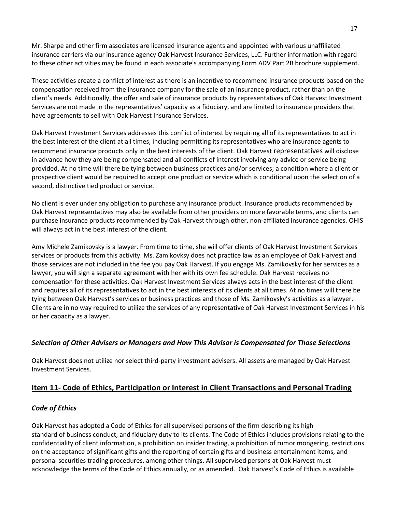Mr. Sharpe and other firm associates are licensed insurance agents and appointed with various unaffiliated insurance carriers via our insurance agency Oak Harvest Insurance Services, LLC. Further information with regard to these other activities may be found in each associate's accompanying Form ADV Part 2B brochure supplement.

These activities create a conflict of interest as there is an incentive to recommend insurance products based on the compensation received from the insurance company for the sale of an insurance product, rather than on the client's needs. Additionally, the offer and sale of insurance products by representatives of Oak Harvest Investment Services are not made in the representatives' capacity as a fiduciary, and are limited to insurance providers that have agreements to sell with Oak Harvest Insurance Services.

Oak Harvest Investment Services addresses this conflict of interest by requiring all of its representatives to act in the best interest of the client at all times, including permitting its representatives who are insurance agents to recommend insurance products only in the best interests of the client. Oak Harvest representatives will disclose in advance how they are being compensated and all conflicts of interest involving any advice or service being provided. At no time will there be tying between business practices and/or services; a condition where a client or prospective client would be required to accept one product or service which is conditional upon the selection of a second, distinctive tied product or service.

No client is ever under any obligation to purchase any insurance product. Insurance products recommended by Oak Harvest representatives may also be available from other providers on more favorable terms, and clients can purchase insurance products recommended by Oak Harvest through other, non‐affiliated insurance agencies. OHIS will always act in the best interest of the client.

Amy Michele Zamikovsky is a lawyer. From time to time, she will offer clients of Oak Harvest Investment Services services or products from this activity. Ms. Zamikovksy does not practice law as an employee of Oak Harvest and those services are not included in the fee you pay Oak Harvest. If you engage Ms. Zamikovsky for her services as a lawyer, you will sign a separate agreement with her with its own fee schedule. Oak Harvest receives no compensation for these activities. Oak Harvest Investment Services always acts in the best interest of the client and requires all of its representatives to act in the best interests of its clients at all times. At no times will there be tying between Oak Harvest's services or business practices and those of Ms. Zamikovsky's activities as a lawyer. Clients are in no way required to utilize the services of any representative of Oak Harvest Investment Services in his or her capacity as a lawyer.

# *Selection of Other Advisers or Managers and How This Advisor is Compensated for Those Selections*

Oak Harvest does not utilize nor select third-party investment advisers. All assets are managed by Oak Harvest Investment Services.

# <span id="page-16-0"></span>**Item 11- Code of Ethics, Participation or Interest in Client Transactions and Personal Trading**

# *Code of Ethics*

Oak Harvest has adopted a Code of Ethics for all supervised persons of the firm describing its high standard of business conduct, and fiduciary duty to its clients. The Code of Ethics includes provisions relating to the confidentiality of client information, a prohibition on insider trading, a prohibition of rumor mongering, restrictions on the acceptance of significant gifts and the reporting of certain gifts and business entertainment items, and personal securities trading procedures, among other things. All supervised persons at Oak Harvest must acknowledge the terms of the Code of Ethics annually, or as amended. Oak Harvest's Code of Ethics is available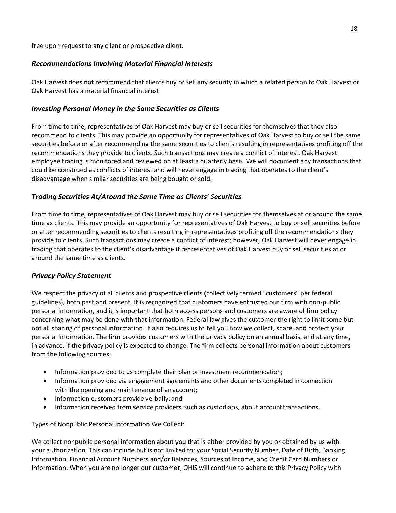free upon request to any client or prospective client.

## *Recommendations Involving Material Financial Interests*

Oak Harvest does not recommend that clients buy or sell any security in which a related person to Oak Harvest or Oak Harvest has a material financial interest.

## *Investing Personal Money in the Same Securities as Clients*

From time to time, representatives of Oak Harvest may buy or sell securities for themselves that they also recommend to clients. This may provide an opportunity for representatives of Oak Harvest to buy or sell the same securities before or after recommending the same securities to clients resulting in representatives profiting off the recommendations they provide to clients. Such transactions may create a conflict of interest. Oak Harvest employee trading is monitored and reviewed on at least a quarterly basis. We will document any transactions that could be construed as conflicts of interest and will never engage in trading that operates to the client's disadvantage when similar securities are being bought or sold.

## *Trading Securities At/Around the Same Time as Clients' Securities*

From time to time, representatives of Oak Harvest may buy or sell securities for themselves at or around the same time as clients. This may provide an opportunity for representatives of Oak Harvest to buy or sell securities before or after recommending securities to clients resulting in representatives profiting off the recommendations they provide to clients. Such transactions may create a conflict of interest; however, Oak Harvest will never engage in trading that operates to the client's disadvantage if representatives of Oak Harvest buy or sell securities at or around the same time as clients.

#### *Privacy Policy Statement*

We respect the privacy of all clients and prospective clients (collectively termed "customers" per federal guidelines), both past and present. It is recognized that customers have entrusted our firm with non-public personal information, and it is important that both access persons and customers are aware of firm policy concerning what may be done with that information. Federal law gives the customer the right to limit some but not all sharing of personal information. It also requires us to tell you how we collect, share, and protect your personal information. The firm provides customers with the privacy policy on an annual basis, and at any time, in advance, if the privacy policy is expected to change. The firm collects personal information about customers from the following sources:

- Information provided to us complete their plan or investment recommendation;
- Information provided via engagement agreements and other documents completed in connection with the opening and maintenance of an account;
- Information customers provide verbally; and
- Information received from service providers, such as custodians, about account transactions.

Types of Nonpublic Personal Information We Collect:

We collect nonpublic personal information about you that is either provided by you or obtained by us with your authorization. This can include but is not limited to: your Social Security Number, Date of Birth, Banking Information, Financial Account Numbers and/or Balances, Sources of Income, and Credit Card Numbers or Information. When you are no longer our customer, OHIS will continue to adhere to this Privacy Policy with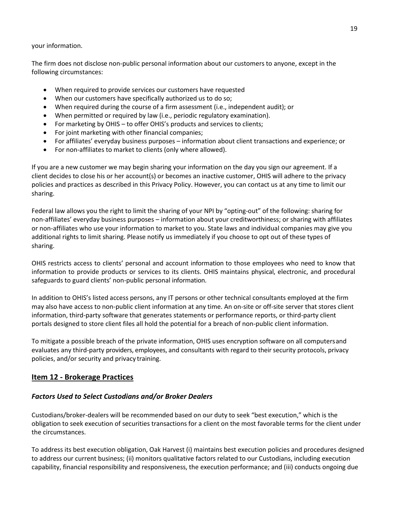#### your information.

The firm does not disclose non-public personal information about our customers to anyone, except in the following circumstances:

- When required to provide services our customers have requested
- When our customers have specifically authorized us to do so;
- When required during the course of a firm assessment (i.e., independent audit); or
- When permitted or required by law (i.e., periodic regulatory examination).
- For marketing by OHIS to offer OHIS's products and services to clients;
- For joint marketing with other financial companies;
- For affiliates' everyday business purposes information about client transactions and experience; or
- For non-affiliates to market to clients (only where allowed).

If you are a new customer we may begin sharing your information on the day you sign our agreement. If a client decides to close his or her account(s) or becomes an inactive customer, OHIS will adhere to the privacy policies and practices as described in this Privacy Policy. However, you can contact us at any time to limit our sharing.

Federal law allows you the right to limit the sharing of your NPI by "opting-out" of the following: sharing for non-affiliates' everyday business purposes – information about your creditworthiness; or sharing with affiliates or non-affiliates who use your information to market to you. State laws and individual companies may give you additional rights to limit sharing. Please notify us immediately if you choose to opt out of these types of sharing.

OHIS restricts access to clients' personal and account information to those employees who need to know that information to provide products or services to its clients. OHIS maintains physical, electronic, and procedural safeguards to guard clients' non-public personal information.

In addition to OHIS's listed access persons, any IT persons or other technical consultants employed at the firm may also have access to non-public client information at any time. An on-site or off-site server that stores client information, third-party software that generates statements or performance reports, or third-party client portals designed to store client files all hold the potential for a breach of non-public client information.

To mitigate a possible breach of the private information, OHIS uses encryption software on all computersand evaluates any third-party providers, employees, and consultants with regard to their security protocols, privacy policies, and/or security and privacy training.

# <span id="page-18-0"></span>**Item 12 - Brokerage Practices**

# *Factors Used to Select Custodians and/or Broker Dealers*

Custodians/broker-dealers will be recommended based on our duty to seek "best execution," which is the obligation to seek execution of securities transactions for a client on the most favorable terms for the client under the circumstances.

To address its best execution obligation, Oak Harvest (i) maintains best execution policies and procedures designed to address our current business; (ii) monitors qualitative factors related to our Custodians, including execution capability, financial responsibility and responsiveness, the execution performance; and (iii) conducts ongoing due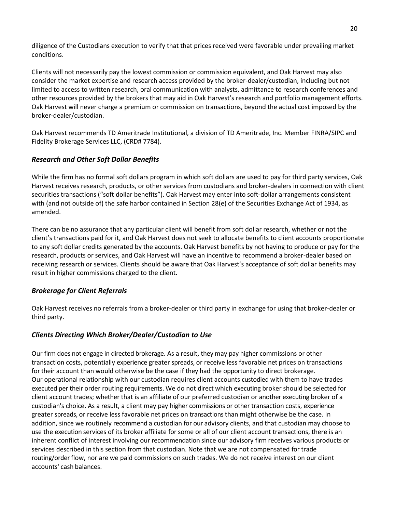diligence of the Custodians execution to verify that that prices received were favorable under prevailing market conditions.

Clients will not necessarily pay the lowest commission or commission equivalent, and Oak Harvest may also consider the market expertise and research access provided by the broker-dealer/custodian, including but not limited to access to written research, oral communication with analysts, admittance to research conferences and other resources provided by the brokers that may aid in Oak Harvest's research and portfolio management efforts. Oak Harvest will never charge a premium or commission on transactions, beyond the actual cost imposed by the broker-dealer/custodian.

Oak Harvest recommends TD Ameritrade Institutional, a division of TD Ameritrade, Inc. Member FINRA/SIPC and Fidelity Brokerage Services LLC, (CRD# 7784).

# *Research and Other Soft Dollar Benefits*

While the firm has no formal soft dollars program in which soft dollars are used to pay for third party services, Oak Harvest receives research, products, or other services from custodians and broker-dealers in connection with client securities transactions ("soft dollar benefits"). Oak Harvest may enter into soft-dollar arrangements consistent with (and not outside of) the safe harbor contained in Section 28(e) of the Securities Exchange Act of 1934, as amended.

There can be no assurance that any particular client will benefit from soft dollar research, whether or not the client's transactions paid for it, and Oak Harvest does not seek to allocate benefits to client accounts proportionate to any soft dollar credits generated by the accounts. Oak Harvest benefits by not having to produce or pay for the research, products or services, and Oak Harvest will have an incentive to recommend a broker-dealer based on receiving research or services. Clients should be aware that Oak Harvest's acceptance of soft dollar benefits may result in higher commissions charged to the client.

# *Brokerage for Client Referrals*

Oak Harvest receives no referrals from a broker-dealer or third party in exchange for using that broker-dealer or third party.

# *Clients Directing Which Broker/Dealer/Custodian to Use*

Our firm does not engage in directed brokerage. As a result, they may pay higher commissions or other transaction costs, potentially experience greater spreads, or receive less favorable net prices on transactions for their account than would otherwise be the case if they had the opportunity to direct brokerage. Our operational relationship with our custodian requires client accounts custodied with them to have trades executed per their order routing requirements. We do not direct which executing broker should be selected for client account trades; whether that is an affiliate of our preferred custodian or another executing broker of a custodian's choice. As a result, a client may pay higher commissions or other transaction costs, experience greater spreads, or receive less favorable net prices on transactions than might otherwise be the case. In addition, since we routinely recommend a custodian for our advisory clients, and that custodian may choose to use the execution services of its broker affiliate for some or all of our client account transactions, there is an inherent conflict of interest involving our recommendation since our advisory firm receives various products or services described in this section from that custodian. Note that we are not compensated for trade routing/order flow, nor are we paid commissions on such trades. We do not receive interest on our client accounts' cash balances.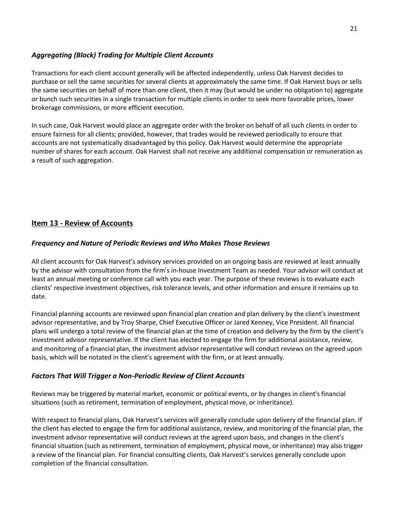# *Aggregating (Block) Trading for Multiple Client Accounts*

Transactions for each client account generally will be affected independently, unless Oak Harvest decides to purchase or sell the same securities for several clients at approximately the same time. If Oak Harvest buys or sells the same securities on behalf of more than one client, then it may (but would be under no obligation to) aggregate or bunch such securities in a single transaction for multiple clients in order to seek more favorable prices, lower brokerage commissions, or more efficient execution.

In such case, Oak Harvest would place an aggregate order with the broker on behalf of all such clients in order to ensure fairness for all clients; provided, however, that trades would be reviewed periodically to ensure that accounts are not systematically disadvantaged by this policy. Oak Harvest would determine the appropriate number of shares for each account. Oak Harvest shall not receive any additional compensation or remuneration as a result of such aggregation.

# <span id="page-20-0"></span>**Item 13 - Review of Accounts**

# *Frequency and Nature of Periodic Reviews and Who Makes Those Reviews*

All client accounts for Oak Harvest's advisory services provided on an ongoing basis are reviewed at least annually by the advisor with consultation from the firm's in-house Investment Team as needed. Your advisor will conduct at least an annual meeting or conference call with you each year. The purpose of these reviews is to evaluate each clients' respective investment objectives, risk tolerance levels, and other information and ensure it remains up to date.

Financial planning accounts are reviewed upon financial plan creation and plan delivery by the client's investment advisor representative, and by Troy Sharpe, Chief Executive Officer or Jared Kenney, Vice President. All financial plans will undergo a total review of the financial plan at the time of creation and delivery by the firm by the client's investment advisor representative. If the client has elected to engage the firm for additional assistance, review, and monitoring of a financial plan, the investment advisor representative will conduct reviews on the agreed upon basis, which will be notated in the client's agreement with the firm, or at least annually.

# *Factors That Will Trigger a Non-Periodic Review of Client Accounts*

Reviews may be triggered by material market, economic or political events, or by changes in client's financial situations (such as retirement, termination of employment, physical move, or inheritance).

With respect to financial plans, Oak Harvest's services will generally conclude upon delivery of the financial plan. If the client has elected to engage the firm for additional assistance, review, and monitoring of the financial plan, the investment advisor representative will conduct reviews at the agreed upon basis, and changes in the client's financial situation (such as retirement, termination of employment, physical move, or inheritance) may also trigger a review of the financial plan. For financial consulting clients, Oak Harvest's services generally conclude upon completion of the financial consultation.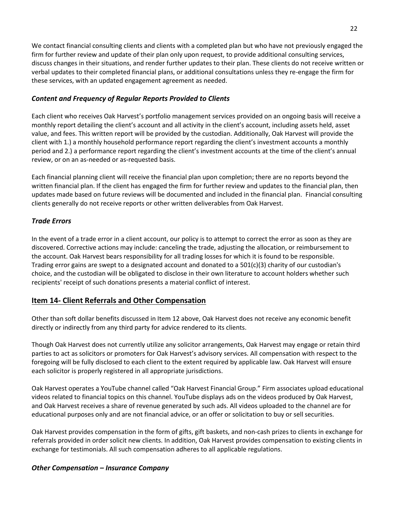We contact financial consulting clients and clients with a completed plan but who have not previously engaged the firm for further review and update of their plan only upon request, to provide additional consulting services, discuss changes in their situations, and render further updates to their plan. These clients do not receive written or verbal updates to their completed financial plans, or additional consultations unless they re-engage the firm for these services, with an updated engagement agreement as needed.

# *Content and Frequency of Regular Reports Provided to Clients*

Each client who receives Oak Harvest's portfolio management services provided on an ongoing basis will receive a monthly report detailing the client's account and all activity in the client's account, including assets held, asset value, and fees. This written report will be provided by the custodian. Additionally, Oak Harvest will provide the client with 1.) a monthly household performance report regarding the client's investment accounts a monthly period and 2.) a performance report regarding the client's investment accounts at the time of the client's annual review, or on an as-needed or as-requested basis.

Each financial planning client will receive the financial plan upon completion; there are no reports beyond the written financial plan. If the client has engaged the firm for further review and updates to the financial plan, then updates made based on future reviews will be documented and included in the financial plan. Financial consulting clients generally do not receive reports or other written deliverables from Oak Harvest.

# *Trade Errors*

In the event of a trade error in a client account, our policy is to attempt to correct the error as soon as they are discovered. Corrective actions may include: canceling the trade, adjusting the allocation, or reimbursement to the account. Oak Harvest bears responsibility for all trading losses for which it is found to be responsible. Trading error gains are swept to a designated account and donated to a 501(c)(3) charity of our custodian's choice, and the custodian will be obligated to disclose in their own literature to account holders whether such recipients' receipt of such donations presents a material conflict of interest.

# <span id="page-21-0"></span>**Item 14- Client Referrals and Other Compensation**

Other than soft dollar benefits discussed in Item 12 above, Oak Harvest does not receive any economic benefit directly or indirectly from any third party for advice rendered to its clients.

Though Oak Harvest does not currently utilize any solicitor arrangements, Oak Harvest may engage or retain third parties to act as solicitors or promoters for Oak Harvest's advisory services. All compensation with respect to the foregoing will be fully disclosed to each client to the extent required by applicable law. Oak Harvest will ensure each solicitor is properly registered in all appropriate jurisdictions.

Oak Harvest operates a YouTube channel called "Oak Harvest Financial Group." Firm associates upload educational videos related to financial topics on this channel. YouTube displays ads on the videos produced by Oak Harvest, and Oak Harvest receives a share of revenue generated by such ads. All videos uploaded to the channel are for educational purposes only and are not financial advice, or an offer or solicitation to buy or sell securities.

Oak Harvest provides compensation in the form of gifts, gift baskets, and non-cash prizes to clients in exchange for referrals provided in order solicit new clients. In addition, Oak Harvest provides compensation to existing clients in exchange for testimonials. All such compensation adheres to all applicable regulations.

# *Other Compensation – Insurance Company*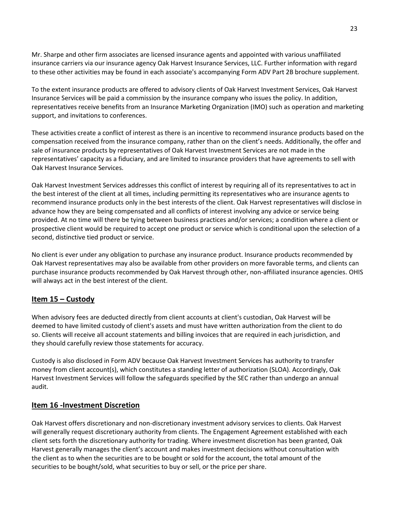Mr. Sharpe and other firm associates are licensed insurance agents and appointed with various unaffiliated insurance carriers via our insurance agency Oak Harvest Insurance Services, LLC. Further information with regard to these other activities may be found in each associate's accompanying Form ADV Part 2B brochure supplement.

To the extent insurance products are offered to advisory clients of Oak Harvest Investment Services, Oak Harvest Insurance Services will be paid a commission by the insurance company who issues the policy. In addition, representatives receive benefits from an Insurance Marketing Organization (IMO) such as operation and marketing support, and invitations to conferences.

These activities create a conflict of interest as there is an incentive to recommend insurance products based on the compensation received from the insurance company, rather than on the client's needs. Additionally, the offer and sale of insurance products by representatives of Oak Harvest Investment Services are not made in the representatives' capacity as a fiduciary, and are limited to insurance providers that have agreements to sell with Oak Harvest Insurance Services.

Oak Harvest Investment Services addresses this conflict of interest by requiring all of its representatives to act in the best interest of the client at all times, including permitting its representatives who are insurance agents to recommend insurance products only in the best interests of the client. Oak Harvest representatives will disclose in advance how they are being compensated and all conflicts of interest involving any advice or service being provided. At no time will there be tying between business practices and/or services; a condition where a client or prospective client would be required to accept one product or service which is conditional upon the selection of a second, distinctive tied product or service.

No client is ever under any obligation to purchase any insurance product. Insurance products recommended by Oak Harvest representatives may also be available from other providers on more favorable terms, and clients can purchase insurance products recommended by Oak Harvest through other, non‐affiliated insurance agencies. OHIS will always act in the best interest of the client.

# <span id="page-22-0"></span>**Item 15 – Custody**

When advisory fees are deducted directly from client accounts at client's custodian, Oak Harvest will be deemed to have limited custody of client's assets and must have written authorization from the client to do so. Clients will receive all account statements and billing invoices that are required in each jurisdiction, and they should carefully review those statements for accuracy.

Custody is also disclosed in Form ADV because Oak Harvest Investment Services has authority to transfer money from client account(s), which constitutes a standing letter of authorization (SLOA). Accordingly, Oak Harvest Investment Services will follow the safeguards specified by the SEC rather than undergo an annual audit.

# **Item 16 -Investment Discretion**

Oak Harvest offers discretionary and non-discretionary investment advisory services to clients. Oak Harvest will generally request discretionary authority from clients. The Engagement Agreement established with each client sets forth the discretionary authority for trading. Where investment discretion has been granted, Oak Harvest generally manages the client's account and makes investment decisions without consultation with the client as to when the securities are to be bought or sold for the account, the total amount of the securities to be bought/sold, what securities to buy or sell, or the price per share.